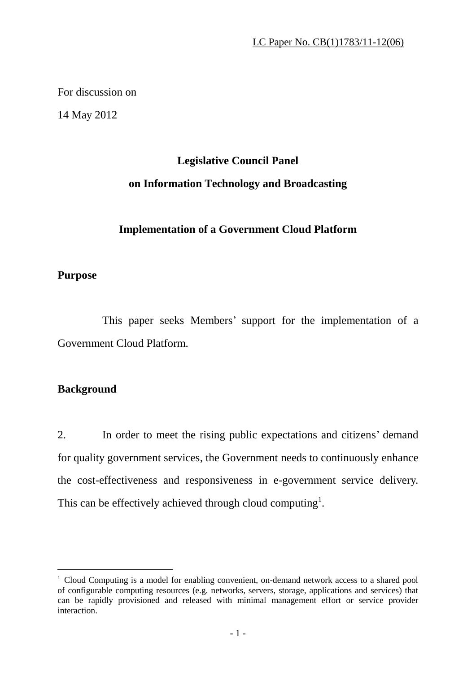For discussion on

14 May 2012

# **Legislative Council Panel on Information Technology and Broadcasting**

# **Implementation of a Government Cloud Platform**

## **Purpose**

 This paper seeks Members' support for the implementation of a Government Cloud Platform.

# **Background**

-

2. In order to meet the rising public expectations and citizens' demand for quality government services, the Government needs to continuously enhance the cost-effectiveness and responsiveness in e-government service delivery. This can be effectively achieved through cloud computing<sup>1</sup>.

<sup>&</sup>lt;sup>1</sup> Cloud Computing is a model for enabling convenient, on-demand network access to a shared pool of configurable computing resources (e.g. networks, servers, storage, applications and services) that can be rapidly provisioned and released with minimal management effort or service provider interaction.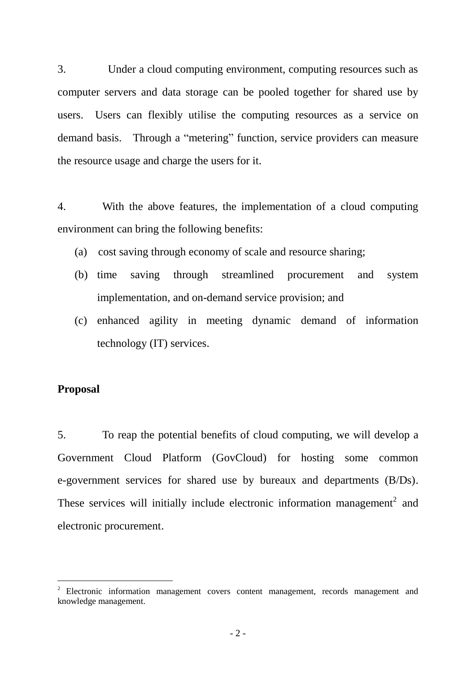3. Under a cloud computing environment, computing resources such as computer servers and data storage can be pooled together for shared use by users. Users can flexibly utilise the computing resources as a service on demand basis. Through a "metering" function, service providers can measure the resource usage and charge the users for it.

4. With the above features, the implementation of a cloud computing environment can bring the following benefits:

- (a) cost saving through economy of scale and resource sharing;
- (b) time saving through streamlined procurement and system implementation, and on-demand service provision; and
- (c) enhanced agility in meeting dynamic demand of information technology (IT) services.

## **Proposal**

 $\overline{a}$ 

5. To reap the potential benefits of cloud computing, we will develop a Government Cloud Platform (GovCloud) for hosting some common e-government services for shared use by bureaux and departments (B/Ds). These services will initially include electronic information management<sup>2</sup> and electronic procurement.

<sup>&</sup>lt;sup>2</sup> Electronic information management covers content management, records management and knowledge management.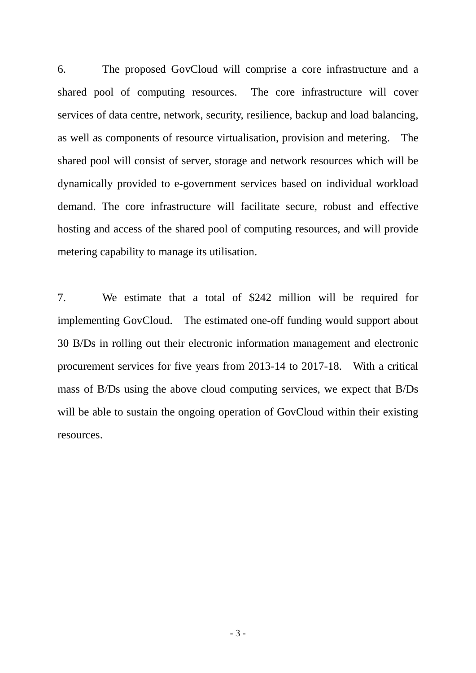6. The proposed GovCloud will comprise a core infrastructure and a shared pool of computing resources. The core infrastructure will cover services of data centre, network, security, resilience, backup and load balancing, as well as components of resource virtualisation, provision and metering. The shared pool will consist of server, storage and network resources which will be dynamically provided to e-government services based on individual workload demand. The core infrastructure will facilitate secure, robust and effective hosting and access of the shared pool of computing resources, and will provide metering capability to manage its utilisation.

7. We estimate that a total of \$242 million will be required for implementing GovCloud. The estimated one-off funding would support about 30 B/Ds in rolling out their electronic information management and electronic procurement services for five years from 2013-14 to 2017-18. With a critical mass of B/Ds using the above cloud computing services, we expect that B/Ds will be able to sustain the ongoing operation of GovCloud within their existing resources.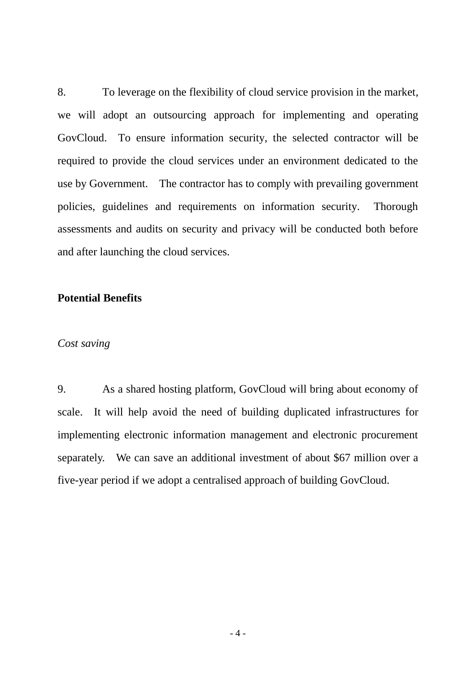8. To leverage on the flexibility of cloud service provision in the market, we will adopt an outsourcing approach for implementing and operating GovCloud. To ensure information security, the selected contractor will be required to provide the cloud services under an environment dedicated to the use by Government. The contractor has to comply with prevailing government policies, guidelines and requirements on information security. Thorough assessments and audits on security and privacy will be conducted both before and after launching the cloud services.

## **Potential Benefits**

#### *Cost saving*

9. As a shared hosting platform, GovCloud will bring about economy of scale. It will help avoid the need of building duplicated infrastructures for implementing electronic information management and electronic procurement separately. We can save an additional investment of about \$67 million over a five-year period if we adopt a centralised approach of building GovCloud.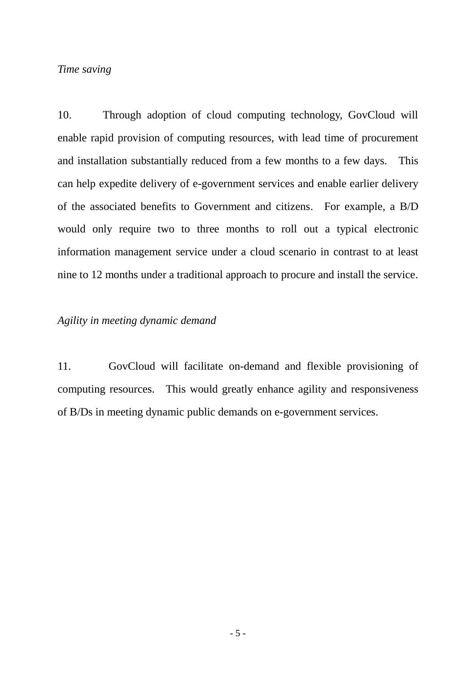## *Time saving*

10. Through adoption of cloud computing technology, GovCloud will enable rapid provision of computing resources, with lead time of procurement and installation substantially reduced from a few months to a few days. This can help expedite delivery of e-government services and enable earlier delivery of the associated benefits to Government and citizens. For example, a B/D would only require two to three months to roll out a typical electronic information management service under a cloud scenario in contrast to at least nine to 12 months under a traditional approach to procure and install the service.

#### *Agility in meeting dynamic demand*

11. GovCloud will facilitate on-demand and flexible provisioning of computing resources. This would greatly enhance agility and responsiveness of B/Ds in meeting dynamic public demands on e-government services.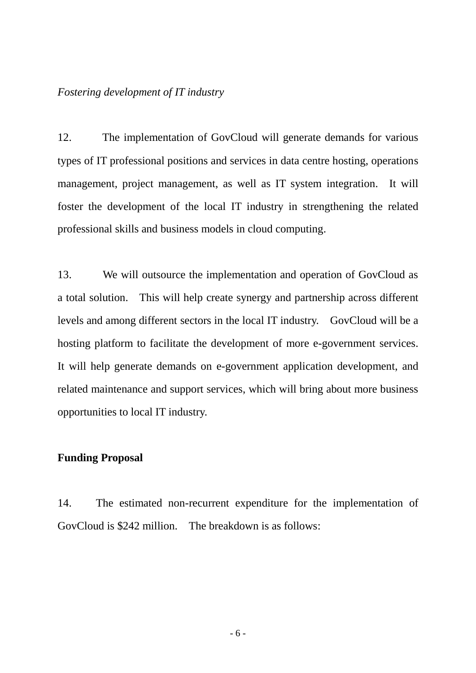#### *Fostering development of IT industry*

12. The implementation of GovCloud will generate demands for various types of IT professional positions and services in data centre hosting, operations management, project management, as well as IT system integration. It will foster the development of the local IT industry in strengthening the related professional skills and business models in cloud computing.

13. We will outsource the implementation and operation of GovCloud as a total solution. This will help create synergy and partnership across different levels and among different sectors in the local IT industry. GovCloud will be a hosting platform to facilitate the development of more e-government services. It will help generate demands on e-government application development, and related maintenance and support services, which will bring about more business opportunities to local IT industry.

## **Funding Proposal**

14. The estimated non-recurrent expenditure for the implementation of GovCloud is \$242 million. The breakdown is as follows: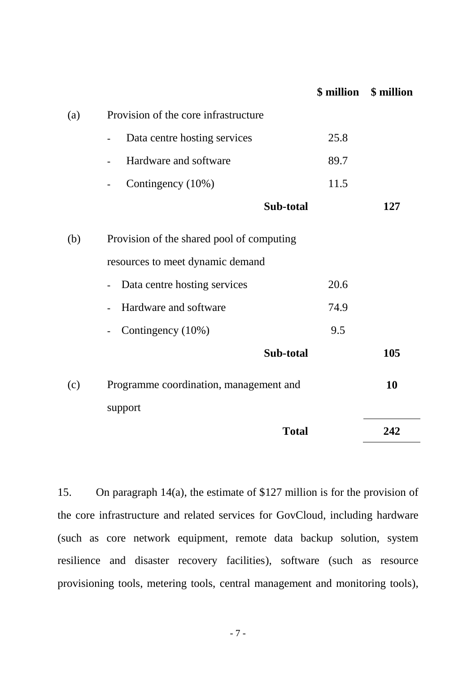|     |                                                              | \$ million | \$ million |
|-----|--------------------------------------------------------------|------------|------------|
| (a) | Provision of the core infrastructure                         |            |            |
|     | Data centre hosting services<br>$\overline{\phantom{0}}$     | 25.8       |            |
|     | Hardware and software                                        | 89.7       |            |
|     | Contingency (10%)<br>$\overline{\phantom{0}}$                | 11.5       |            |
|     | Sub-total                                                    |            | 127        |
| (b) | Provision of the shared pool of computing                    |            |            |
|     | resources to meet dynamic demand                             |            |            |
|     | Data centre hosting services<br>$\qquad \qquad \blacksquare$ | 20.6       |            |
|     | Hardware and software                                        | 74.9       |            |
|     | Contingency (10%)<br>$\qquad \qquad \blacksquare$            | 9.5        |            |
|     | Sub-total                                                    |            | 105        |
| (c) | Programme coordination, management and                       |            | 10         |
|     | support                                                      |            |            |
|     | <b>Total</b>                                                 |            | 242        |

15. On paragraph 14(a), the estimate of \$127 million is for the provision of the core infrastructure and related services for GovCloud, including hardware (such as core network equipment, remote data backup solution, system resilience and disaster recovery facilities), software (such as resource provisioning tools, metering tools, central management and monitoring tools),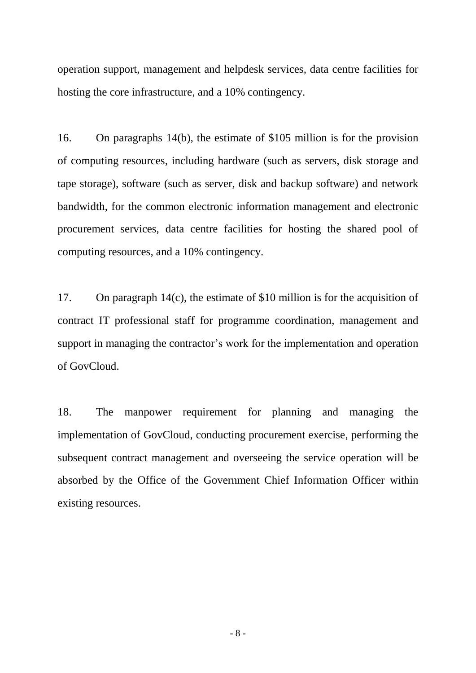operation support, management and helpdesk services, data centre facilities for hosting the core infrastructure, and a 10% contingency.

16. On paragraphs 14(b), the estimate of \$105 million is for the provision of computing resources, including hardware (such as servers, disk storage and tape storage), software (such as server, disk and backup software) and network bandwidth, for the common electronic information management and electronic procurement services, data centre facilities for hosting the shared pool of computing resources, and a 10% contingency.

17. On paragraph 14(c), the estimate of \$10 million is for the acquisition of contract IT professional staff for programme coordination, management and support in managing the contractor's work for the implementation and operation of GovCloud.

18. The manpower requirement for planning and managing the implementation of GovCloud, conducting procurement exercise, performing the subsequent contract management and overseeing the service operation will be absorbed by the Office of the Government Chief Information Officer within existing resources.

- 8 -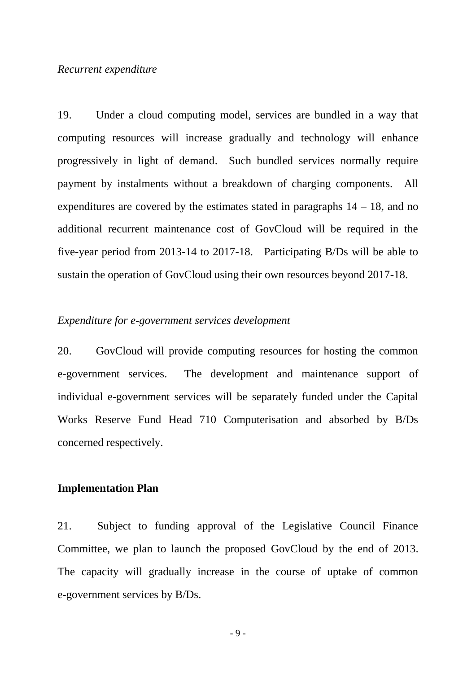#### *Recurrent expenditure*

19. Under a cloud computing model, services are bundled in a way that computing resources will increase gradually and technology will enhance progressively in light of demand. Such bundled services normally require payment by instalments without a breakdown of charging components. All expenditures are covered by the estimates stated in paragraphs  $14 - 18$ , and no additional recurrent maintenance cost of GovCloud will be required in the five-year period from 2013-14 to 2017-18. Participating B/Ds will be able to sustain the operation of GovCloud using their own resources beyond 2017-18.

#### *Expenditure for e-government services development*

20. GovCloud will provide computing resources for hosting the common e-government services. The development and maintenance support of individual e-government services will be separately funded under the Capital Works Reserve Fund Head 710 Computerisation and absorbed by B/Ds concerned respectively.

#### **Implementation Plan**

21. Subject to funding approval of the Legislative Council Finance Committee, we plan to launch the proposed GovCloud by the end of 2013. The capacity will gradually increase in the course of uptake of common e-government services by B/Ds.

- 9 -